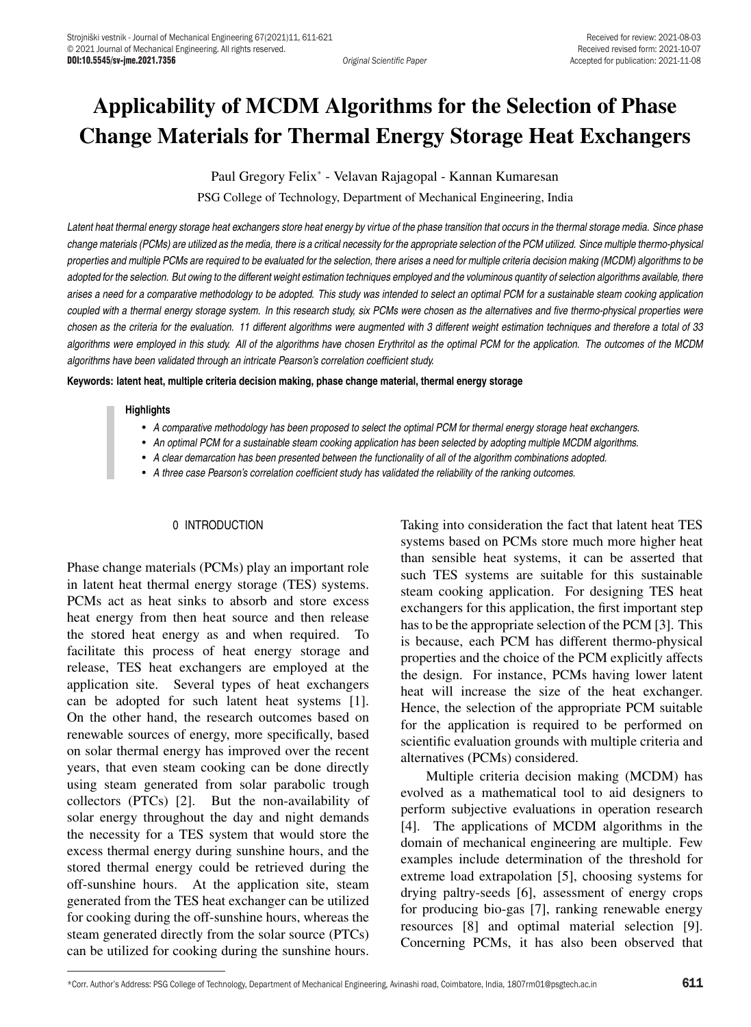# Applicability of MCDM Algorithms for the Selection of Phase Change Materials for Thermal Energy Storage Heat Exchangers

Paul Gregory Felix\* - Velavan Rajagopal - Kannan Kumaresan

PSG College of Technology, Department of Mechanical Engineering, India

*Latent heat thermal energy storage heat exchangers store heat energy by virtue of the phase transition that occurs in the thermal storage media. Since phase change materials (PCMs) are utilized as the media, there is a critical necessity for the appropriate selection of the PCM utilized. Since multiple thermo-physical properties and multiple PCMs are required to be evaluated for the selection, there arises a need for multiple criteria decision making (MCDM) algorithms to be adopted for the selection. But owing to the different weight estimation techniques employed and the voluminous quantity of selection algorithms available, there arises a need for a comparative methodology to be adopted. This study was intended to select an optimal PCM for a sustainable steam cooking application coupled with a thermal energy storage system. In this research study, six PCMs were chosen as the alternatives and five thermo-physical properties were chosen as the criteria for the evaluation. 11 different algorithms were augmented with 3 different weight estimation techniques and therefore a total of 33 algorithms were employed in this study. All of the algorithms have chosen Erythritol as the optimal PCM for the application. The outcomes of the MCDM algorithms have been validated through an intricate Pearson's correlation coefficient study.*

**Keywords: latent heat, multiple criteria decision making, phase change material, thermal energy storage**

#### **Highlights**

- *A comparative methodology has been proposed to select the optimal PCM for thermal energy storage heat exchangers.*
- *An optimal PCM for a sustainable steam cooking application has been selected by adopting multiple MCDM algorithms.*
- *A clear demarcation has been presented between the functionality of all of the algorithm combinations adopted.*
- *A three case Pearson's correlation coefficient study has validated the reliability of the ranking outcomes.*

#### 0 INTRODUCTION

Phase change materials (PCMs) play an important role in latent heat thermal energy storage (TES) systems. PCMs act as heat sinks to absorb and store excess heat energy from then heat source and then release the stored heat energy as and when required. To facilitate this process of heat energy storage and release, TES heat exchangers are employed at the application site. Several types of heat exchangers can be adopted for such latent heat systems [1]. On the other hand, the research outcomes based on renewable sources of energy, more specifically, based on solar thermal energy has improved over the recent years, that even steam cooking can be done directly using steam generated from solar parabolic trough collectors (PTCs) [2]. But the non-availability of solar energy throughout the day and night demands the necessity for a TES system that would store the excess thermal energy during sunshine hours, and the stored thermal energy could be retrieved during the off-sunshine hours. At the application site, steam generated from the TES heat exchanger can be utilized for cooking during the off-sunshine hours, whereas the steam generated directly from the solar source (PTCs) can be utilized for cooking during the sunshine hours.

Taking into consideration the fact that latent heat TES systems based on PCMs store much more higher heat than sensible heat systems, it can be asserted that such TES systems are suitable for this sustainable steam cooking application. For designing TES heat exchangers for this application, the first important step has to be the appropriate selection of the PCM [3]. This is because, each PCM has different thermo-physical properties and the choice of the PCM explicitly affects the design. For instance, PCMs having lower latent heat will increase the size of the heat exchanger. Hence, the selection of the appropriate PCM suitable for the application is required to be performed on scientific evaluation grounds with multiple criteria and alternatives (PCMs) considered.

Multiple criteria decision making (MCDM) has evolved as a mathematical tool to aid designers to perform subjective evaluations in operation research [4]. The applications of MCDM algorithms in the domain of mechanical engineering are multiple. Few examples include determination of the threshold for extreme load extrapolation [5], choosing systems for drying paltry-seeds [6], assessment of energy crops for producing bio-gas [7], ranking renewable energy resources [8] and optimal material selection [9]. Concerning PCMs, it has also been observed that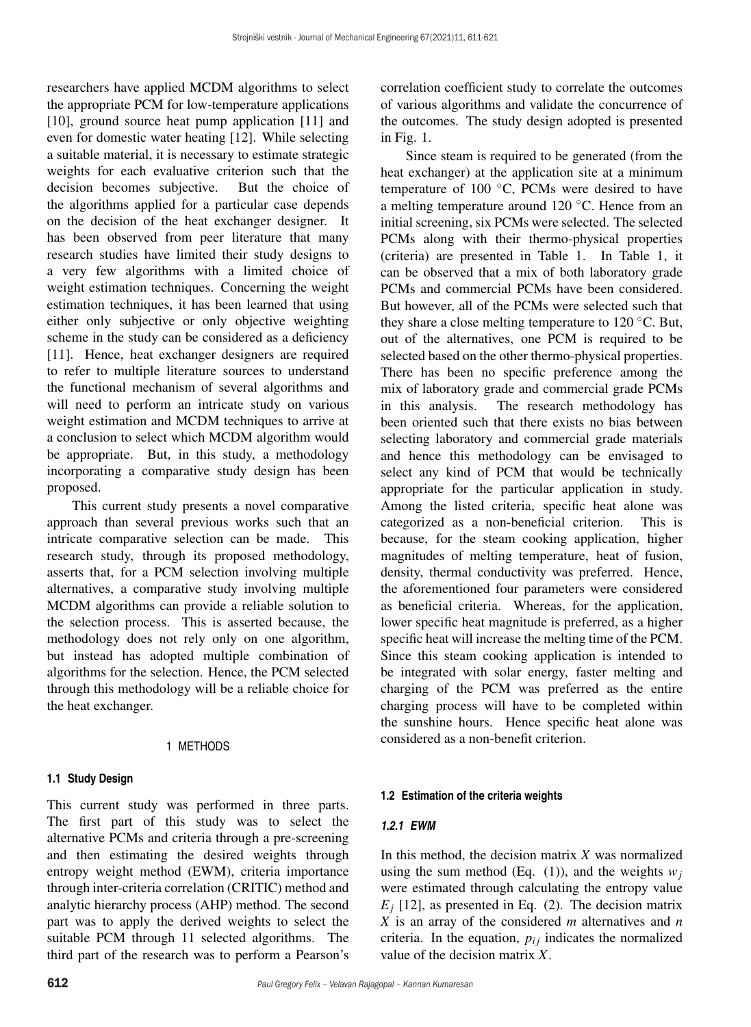researchers have applied MCDM algorithms to select the appropriate PCM for low-temperature applications [10], ground source heat pump application [11] and even for domestic water heating [12]. While selecting a suitable material, it is necessary to estimate strategic weights for each evaluative criterion such that the decision becomes subjective. But the choice of the algorithms applied for a particular case depends on the decision of the heat exchanger designer. It has been observed from peer literature that many research studies have limited their study designs to a very few algorithms with a limited choice of weight estimation techniques. Concerning the weight estimation techniques, it has been learned that using either only subjective or only objective weighting scheme in the study can be considered as a deficiency [11]. Hence, heat exchanger designers are required to refer to multiple literature sources to understand the functional mechanism of several algorithms and will need to perform an intricate study on various weight estimation and MCDM techniques to arrive at a conclusion to select which MCDM algorithm would be appropriate. But, in this study, a methodology incorporating a comparative study design has been proposed.

This current study presents a novel comparative approach than several previous works such that an intricate comparative selection can be made. This research study, through its proposed methodology, asserts that, for a PCM selection involving multiple alternatives, a comparative study involving multiple MCDM algorithms can provide a reliable solution to the selection process. This is asserted because, the methodology does not rely only on one algorithm, but instead has adopted multiple combination of algorithms for the selection. Hence, the PCM selected through this methodology will be a reliable choice for the heat exchanger.

# 1 METHODS

# **1.1 Study Design**

This current study was performed in three parts. The first part of this study was to select the alternative PCMs and criteria through a pre-screening and then estimating the desired weights through entropy weight method (EWM), criteria importance through inter-criteria correlation (CRITIC) method and analytic hierarchy process (AHP) method. The second part was to apply the derived weights to select the suitable PCM through 11 selected algorithms. The third part of the research was to perform a Pearson's correlation coefficient study to correlate the outcomes of various algorithms and validate the concurrence of the outcomes. The study design adopted is presented in Fig. 1.

Since steam is required to be generated (from the heat exchanger) at the application site at a minimum temperature of 100 ◦C, PCMs were desired to have a melting temperature around 120 ◦C. Hence from an initial screening, six PCMs were selected. The selected PCMs along with their thermo-physical properties (criteria) are presented in Table 1. In Table 1, it can be observed that a mix of both laboratory grade PCMs and commercial PCMs have been considered. But however, all of the PCMs were selected such that they share a close melting temperature to 120 ◦C. But, out of the alternatives, one PCM is required to be selected based on the other thermo-physical properties. There has been no specific preference among the mix of laboratory grade and commercial grade PCMs in this analysis. The research methodology has been oriented such that there exists no bias between selecting laboratory and commercial grade materials and hence this methodology can be envisaged to select any kind of PCM that would be technically appropriate for the particular application in study. Among the listed criteria, specific heat alone was categorized as a non-beneficial criterion. This is because, for the steam cooking application, higher magnitudes of melting temperature, heat of fusion, density, thermal conductivity was preferred. Hence, the aforementioned four parameters were considered as beneficial criteria. Whereas, for the application, lower specific heat magnitude is preferred, as a higher specific heat will increase the melting time of the PCM. Since this steam cooking application is intended to be integrated with solar energy, faster melting and charging of the PCM was preferred as the entire charging process will have to be completed within the sunshine hours. Hence specific heat alone was considered as a non-benefit criterion.

# **1.2 Estimation of the criteria weights**

# *1.2.1 EWM*

In this method, the decision matrix *X* was normalized using the sum method (Eq. (1)), and the weights  $w_i$ were estimated through calculating the entropy value  $E_i$  [12], as presented in Eq. (2). The decision matrix *X* is an array of the considered *m* alternatives and *n* criteria. In the equation,  $p_{ij}$  indicates the normalized value of the decision matrix *X*.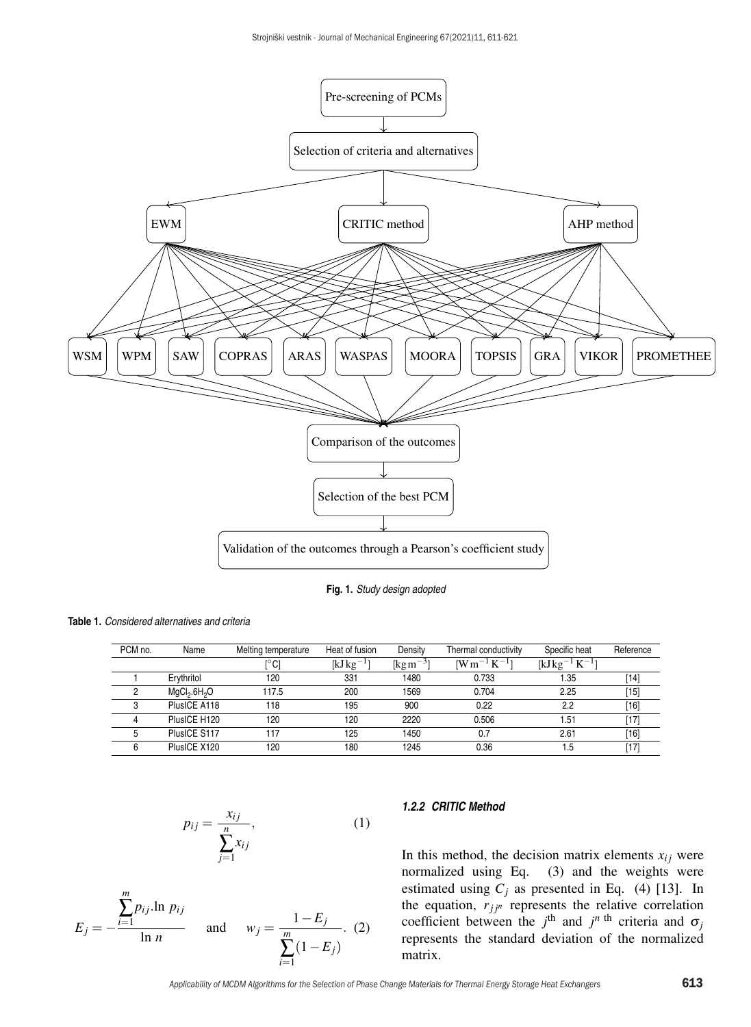

**Fig. 1.** *Study design adopted*

**Table 1.** *Considered alternatives and criteria*

| PCM no. | Name                                 | Melting temperature | Heat of fusion | Density                                     | Thermal conductivity | Specific heat       | Reference |
|---------|--------------------------------------|---------------------|----------------|---------------------------------------------|----------------------|---------------------|-----------|
|         |                                      | [°C]                | $[kJkg^{-1}]$  | $\left[\mathrm{kg}\,\mathrm{m}^{-3}\right]$ | $[Wm^{-1}K^{-1}]$    | $[kJkg^{-1}K^{-1}]$ |           |
|         | Ervthritol                           | 120                 | 331            | 1480                                        | 0.733                | 1.35                | [14]      |
| 2       | MgCl <sub>2</sub> .6H <sub>2</sub> O | 117.5               | 200            | 1569                                        | 0.704                | 2.25                | '15]      |
|         | PlusICE A118                         | 118                 | 195            | 900                                         | 0.22                 | 2.2                 | [16]      |
|         | PlusICE H120                         | 120                 | 120            | 2220                                        | 0.506                | 51.51               | [17]      |
|         | PlusICE S117                         | 117                 | 125            | 1450                                        | 0.7                  | 2.61                | [16]      |
|         | PlusICE X120                         | 120                 | 180            | 1245                                        | 0.36                 | 1.5                 | [17]      |

$$
p_{ij} = \frac{x_{ij}}{\sum_{j=1}^{n} x_{ij}},\tag{1}
$$

$$
E_j = -\frac{\sum_{i=1}^{m} p_{ij} \ln p_{ij}}{\ln n} \quad \text{and} \quad w_j = \frac{1 - E_j}{\sum_{i=1}^{m} (1 - E_j)}.
$$
 (2)

#### *1.2.2 CRITIC Method*

In this method, the decision matrix elements  $x_{ij}$  were normalized using Eq. (3) and the weights were estimated using  $C_j$  as presented in Eq. (4) [13]. In the equation,  $r_{jj^n}$  represents the relative correlation coefficient between the  $j^{\text{th}}$  and  $j^{n \text{th}}$  criteria and  $\sigma_j$ represents the standard deviation of the normalized matrix.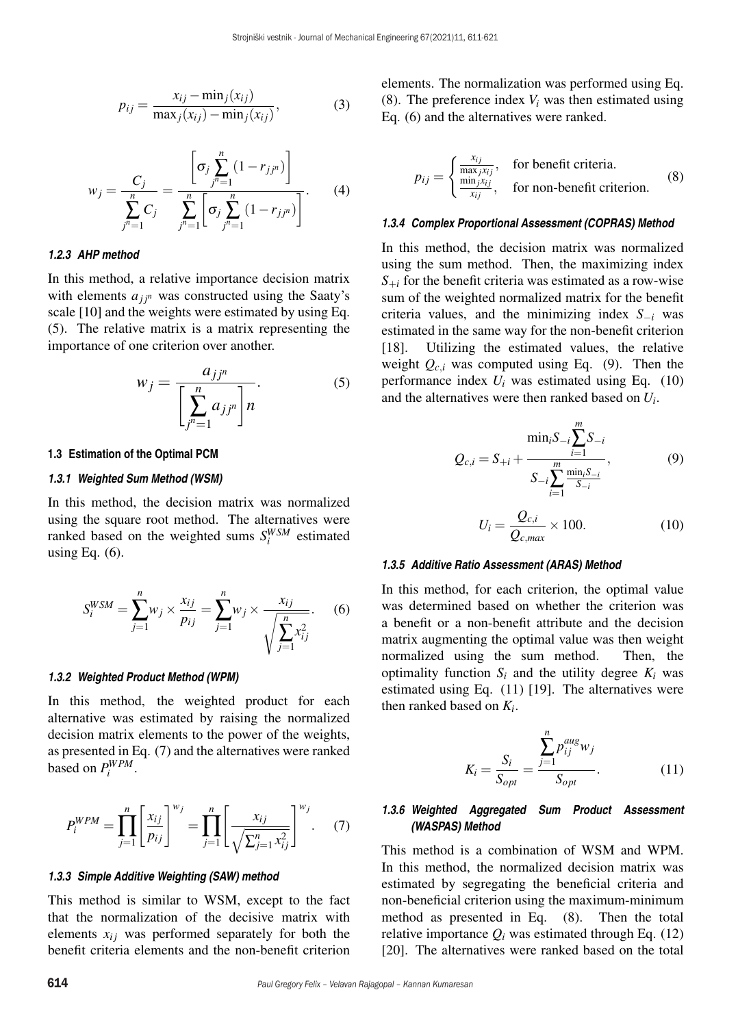$$
p_{ij} = \frac{x_{ij} - \min_j(x_{ij})}{\max_j(x_{ij}) - \min_j(x_{ij})},
$$
\n(3)

$$
w_j = \frac{C_j}{\sum_{j^n=1}^n C_j} = \frac{\left[\sigma_j \sum_{j^n=1}^n (1 - r_{jj^n})\right]}{\sum_{j^n=1}^n \left[\sigma_j \sum_{j^n=1}^n (1 - r_{jj^n})\right]}.
$$
 (4)

#### *1.2.3 AHP method*

In this method, a relative importance decision matrix with elements  $a_{ji^n}$  was constructed using the Saaty's scale [10] and the weights were estimated by using Eq. (5). The relative matrix is a matrix representing the importance of one criterion over another.

$$
w_j = \frac{a_{jj^n}}{\left[\sum_{j^n=1}^n a_{jj^n}\right]n}.\tag{5}
$$

#### **1.3 Estimation of the Optimal PCM**

#### *1.3.1 Weighted Sum Method (WSM)*

In this method, the decision matrix was normalized using the square root method. The alternatives were ranked based on the weighted sums  $S_i^{WSM}$  estimated using Eq.  $(6)$ .

$$
S_i^{WSM} = \sum_{j=1}^n w_j \times \frac{x_{ij}}{p_{ij}} = \sum_{j=1}^n w_j \times \frac{x_{ij}}{\sqrt{\sum_{j=1}^n x_{ij}^2}}.
$$
 (6)

#### *1.3.2 Weighted Product Method (WPM)*

In this method, the weighted product for each alternative was estimated by raising the normalized decision matrix elements to the power of the weights, as presented in Eq. (7) and the alternatives were ranked based on  $P_i^{WPM}$ .

$$
P_i^{WPM} = \prod_{j=1}^n \left[ \frac{x_{ij}}{p_{ij}} \right]^{w_j} = \prod_{j=1}^n \left[ \frac{x_{ij}}{\sqrt{\sum_{j=1}^n x_{ij}^2}} \right]^{w_j}.
$$
 (7)

## *1.3.3 Simple Additive Weighting (SAW) method*

This method is similar to WSM, except to the fact that the normalization of the decisive matrix with elements  $x_{ij}$  was performed separately for both the benefit criteria elements and the non-benefit criterion elements. The normalization was performed using Eq. (8). The preference index  $V_i$  was then estimated using Eq. (6) and the alternatives were ranked.

$$
p_{ij} = \begin{cases} \frac{x_{ij}}{\max_j x_{ij}}, & \text{for benefit criteria.} \\ \frac{\min_j x_{ij}}{x_{ij}}, & \text{for non-benefit criterion.} \end{cases}
$$
 (8)

#### *1.3.4 Complex Proportional Assessment (COPRAS) Method*

In this method, the decision matrix was normalized using the sum method. Then, the maximizing index  $S_{+i}$  for the benefit criteria was estimated as a row-wise sum of the weighted normalized matrix for the benefit criteria values, and the minimizing index *S*−*<sup>i</sup>* was estimated in the same way for the non-benefit criterion [18]. Utilizing the estimated values, the relative weight  $Q_{c,i}$  was computed using Eq. (9). Then the performance index *Ui* was estimated using Eq. (10) and the alternatives were then ranked based on *Ui*.

$$
Q_{c,i} = S_{+i} + \frac{\min_{i} S_{-i} \sum_{i=1}^{m} S_{-i}}{S_{-i} \sum_{i=1}^{m} \frac{\min_{i} S_{-i}}{S_{-i}}},
$$
(9)

$$
U_i = \frac{Q_{c,i}}{Q_{c,max}} \times 100.
$$
 (10)

#### *1.3.5 Additive Ratio Assessment (ARAS) Method*

In this method, for each criterion, the optimal value was determined based on whether the criterion was a benefit or a non-benefit attribute and the decision matrix augmenting the optimal value was then weight normalized using the sum method. Then, the optimality function  $S_i$  and the utility degree  $K_i$  was estimated using Eq. (11) [19]. The alternatives were then ranked based on *Ki*.

$$
K_{i} = \frac{S_{i}}{S_{opt}} = \frac{\sum_{j=1}^{n} p_{ij}^{aug} w_{j}}{S_{opt}}.
$$
 (11)

## *1.3.6 Weighted Aggregated Sum Product Assessment (WASPAS) Method*

This method is a combination of WSM and WPM. In this method, the normalized decision matrix was estimated by segregating the beneficial criteria and non-beneficial criterion using the maximum-minimum method as presented in Eq. (8). Then the total relative importance  $Q_i$  was estimated through Eq. (12) [20]. The alternatives were ranked based on the total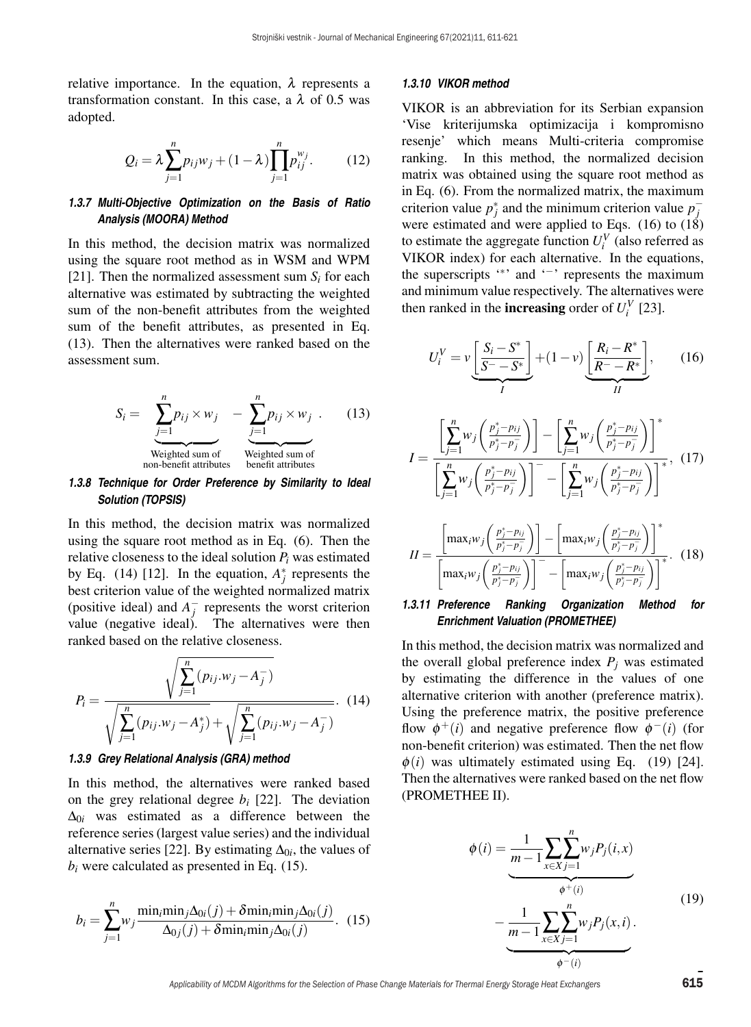relative importance. In the equation,  $\lambda$  represents a transformation constant. In this case, a  $\lambda$  of 0.5 was adopted.

$$
Q_i = \lambda \sum_{j=1}^{n} p_{ij} w_j + (1 - \lambda) \prod_{j=1}^{n} p_{ij}^{w_j}.
$$
 (12)

## *1.3.7 Multi-Objective Optimization on the Basis of Ratio Analysis (MOORA) Method*

In this method, the decision matrix was normalized using the square root method as in WSM and WPM [21]. Then the normalized assessment sum  $S_i$  for each alternative was estimated by subtracting the weighted sum of the non-benefit attributes from the weighted sum of the benefit attributes, as presented in Eq. (13). Then the alternatives were ranked based on the assessment sum.

$$
S_i = \sum_{j=1}^{n} p_{ij} \times w_j - \sum_{j=1}^{n} p_{ij} \times w_j
$$
 (13)  
Weighted sum of  
non-benefit attributes  
henefit attributes

## *1.3.8 Technique for Order Preference by Similarity to Ideal Solution (TOPSIS)*

In this method, the decision matrix was normalized using the square root method as in Eq. (6). Then the relative closeness to the ideal solution *Pi* was estimated by Eq. (14) [12]. In the equation,  $A_j^*$  represents the best criterion value of the weighted normalized matrix (positive ideal) and  $A_j^-$  represents the worst criterion value (negative ideal). The alternatives were then ranked based on the relative closeness.

$$
P_i = \frac{\sqrt{\sum_{j=1}^n (p_{ij}.w_j - A_j^-)}}{\sqrt{\sum_{j=1}^n (p_{ij}.w_j - A_j^*)} + \sqrt{\sum_{j=1}^n (p_{ij}.w_j - A_j^-)}}.
$$
 (14)

#### *1.3.9 Grey Relational Analysis (GRA) method*

In this method, the alternatives were ranked based on the grey relational degree *bi* [22]. The deviation  $\Delta_{0i}$  was estimated as a difference between the reference series (largest value series) and the individual alternative series [22]. By estimating  $\Delta_{0i}$ , the values of  $b_i$  were calculated as presented in Eq.  $(15)$ .

$$
b_i = \sum_{j=1}^{n} w_j \frac{\min_i \min_j \Delta_{0i}(j) + \delta \min_i \min_j \Delta_{0i}(j)}{\Delta_{0j}(j) + \delta \min_i \min_j \Delta_{0i}(j)}.
$$
 (15)

#### *1.3.10 VIKOR method*

VIKOR is an abbreviation for its Serbian expansion 'Vise kriterijumska optimizacija i kompromisno resenje' which means Multi-criteria compromise ranking. In this method, the normalized decision matrix was obtained using the square root method as in Eq. (6). From the normalized matrix, the maximum criterion value  $p_j^*$  and the minimum criterion value  $p_j^$ were estimated and were applied to Eqs.  $(16)$  to  $(18)$ to estimate the aggregate function  $U_i^V$  (also referred as VIKOR index) for each alternative. In the equations, the superscripts '∗' and '−' represents the maximum and minimum value respectively. The alternatives were then ranked in the **increasing** order of  $U_i^V$  [23].

$$
U_i^V = v \underbrace{\left[\frac{S_i - S^*}{S^* - S^*}\right]}_{I} + (1 - v) \underbrace{\left[\frac{R_i - R^*}{R^* - R^*}\right]}_{II},\qquad(16)
$$

$$
I = \frac{\left[\sum_{j=1}^{n} w_j \left(\frac{p_j^* - p_{ij}}{p_j^* - p_j^-}\right)\right] - \left[\sum_{j=1}^{n} w_j \left(\frac{p_j^* - p_{ij}}{p_j^* - p_j^-}\right)\right]^*}{\left[\sum_{j=1}^{n} w_j \left(\frac{p_j^* - p_{ij}}{p_j^* - p_j^-}\right)\right] - \left[\sum_{j=1}^{n} w_j \left(\frac{p_j^* - p_{ij}}{p_j^* - p_j^-}\right)\right]^*}, (17)
$$

$$
II = \frac{\left[\max_{i} w_{j}\left(\frac{p_{j}^{*} - p_{ij}}{p_{j}^{*} - p_{j}^{-}}\right)\right] - \left[\max_{i} w_{j}\left(\frac{p_{j}^{*} - p_{ij}}{p_{j}^{*} - p_{j}^{-}}\right)\right]^{*}}{\left[\max_{i} w_{j}\left(\frac{p_{j}^{*} - p_{ij}}{p_{j}^{*} - p_{j}^{-}}\right)\right]^{-} - \left[\max_{i} w_{j}\left(\frac{p_{j}^{*} - p_{ij}}{p_{j}^{*} - p_{j}^{-}}\right)\right]^{*}}.
$$
 (18)

## *1.3.11 Preference Ranking Organization Method for Enrichment Valuation (PROMETHEE)*

In this method, the decision matrix was normalized and the overall global preference index  $P_i$  was estimated by estimating the difference in the values of one alternative criterion with another (preference matrix). Using the preference matrix, the positive preference flow  $\phi^+(i)$  and negative preference flow  $\phi^-(i)$  (for non-benefit criterion) was estimated. Then the net flow  $\phi(i)$  was ultimately estimated using Eq. (19) [24]. Then the alternatives were ranked based on the net flow (PROMETHEE II).

$$
\phi(i) = \underbrace{\frac{1}{m-1} \sum_{x \in X} \sum_{j=1}^{n} w_j P_j(i,x)}_{\phi^+(i)} - \underbrace{\frac{1}{m-1} \sum_{x \in X} \sum_{j=1}^{n} w_j P_j(x,i)}_{\phi^-(i)}.
$$
\n(19)

—<br>Applicability of MCDM Algorithms for the Selection of Phase Change Materials for Thermal Energy Storage Heat Exchangers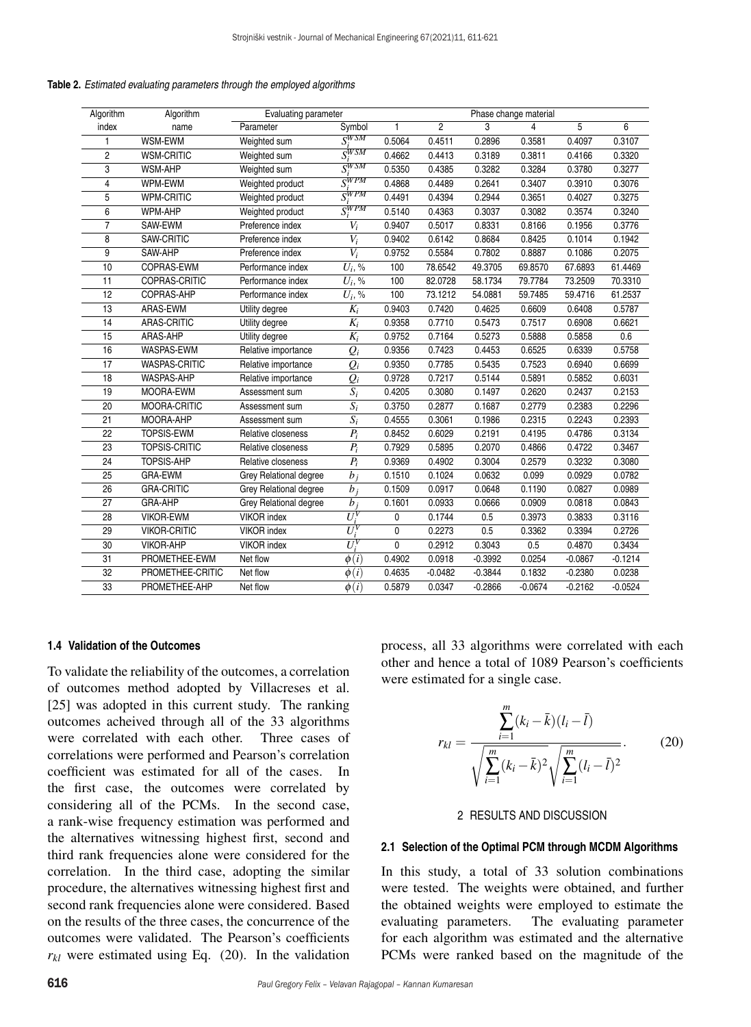#### **Table 2.** *Estimated evaluating parameters through the employed algorithms*

| Algorithm       | Algorithm            | Evaluating parameter   |                      |              | Phase change material |           |           |           |           |  |
|-----------------|----------------------|------------------------|----------------------|--------------|-----------------------|-----------|-----------|-----------|-----------|--|
| index           | name                 | Parameter              | Symbol               | 1            | $\overline{2}$        | 3         | 4         | 5         | 6         |  |
| $\mathbf{1}$    | WSM-EWM              | Weighted sum           | $S_i^{WSM}$          | 0.5064       | 0.4511                | 0.2896    | 0.3581    | 0.4097    | 0.3107    |  |
| $\overline{2}$  | <b>WSM-CRITIC</b>    | Weighted sum           | $S^{WSM}$            | 0.4662       | 0.4413                | 0.3189    | 0.3811    | 0.4166    | 0.3320    |  |
| 3               | <b>WSM-AHP</b>       | Weighted sum           | $S^{WSM}$            | 0.5350       | 0.4385                | 0.3282    | 0.3284    | 0.3780    | 0.3277    |  |
| $\overline{4}$  | WPM-EWM              | Weighted product       | $S_i^{WPM}$          | 0.4868       | 0.4489                | 0.2641    | 0.3407    | 0.3910    | 0.3076    |  |
| 5               | <b>WPM-CRITIC</b>    | Weighted product       | $S^{WPM}$            | 0.4491       | 0.4394                | 0.2944    | 0.3651    | 0.4027    | 0.3275    |  |
| 6               | <b>WPM-AHP</b>       | Weighted product       | $S^{WPM}$            | 0.5140       | 0.4363                | 0.3037    | 0.3082    | 0.3574    | 0.3240    |  |
| $\overline{7}$  | SAW-EWM              | Preference index       | $V_i$                | 0.9407       | 0.5017                | 0.8331    | 0.8166    | 0.1956    | 0.3776    |  |
| 8               | SAW-CRITIC           | Preference index       | $V_i$                | 0.9402       | 0.6142                | 0.8684    | 0.8425    | 0.1014    | 0.1942    |  |
| 9               | SAW-AHP              | Preference index       | $\overline{V_i}$     | 0.9752       | 0.5584                | 0.7802    | 0.8887    | 0.1086    | 0.2075    |  |
| 10              | COPRAS-EWM           | Performance index      | $\overline{U_i}$ , % | 100          | 78.6542               | 49.3705   | 69.8570   | 67.6893   | 61.4469   |  |
| 11              | COPRAS-CRITIC        | Performance index      | $U_i$ , %            | 100          | 82.0728               | 58.1734   | 79.7784   | 73.2509   | 70.3310   |  |
| 12              | COPRAS-AHP           | Performance index      | $U_i$ , %            | 100          | 73.1212               | 54.0881   | 59.7485   | 59.4716   | 61.2537   |  |
| 13              | ARAS-EWM             | Utility degree         | $K_i$                | 0.9403       | 0.7420                | 0.4625    | 0.6609    | 0.6408    | 0.5787    |  |
| 14              | ARAS-CRITIC          | Utility degree         | $K_i$                | 0.9358       | 0.7710                | 0.5473    | 0.7517    | 0.6908    | 0.6621    |  |
| 15              | ARAS-AHP             | Utility degree         | $K_i$                | 0.9752       | 0.7164                | 0.5273    | 0.5888    | 0.5858    | 0.6       |  |
| 16              | WASPAS-EWM           | Relative importance    | $Q_i$                | 0.9356       | 0.7423                | 0.4453    | 0.6525    | 0.6339    | 0.5758    |  |
| 17              | <b>WASPAS-CRITIC</b> | Relative importance    | $Q_i$                | 0.9350       | 0.7785                | 0.5435    | 0.7523    | 0.6940    | 0.6699    |  |
| 18              | WASPAS-AHP           | Relative importance    | $Q_i$                | 0.9728       | 0.7217                | 0.5144    | 0.5891    | 0.5852    | 0.6031    |  |
| 19              | MOORA-EWM            | Assessment sum         | $\overline{S_i}$     | 0.4205       | 0.3080                | 0.1497    | 0.2620    | 0.2437    | 0.2153    |  |
| 20              | MOORA-CRITIC         | Assessment sum         | $\overline{S_i}$     | 0.3750       | 0.2877                | 0.1687    | 0.2779    | 0.2383    | 0.2296    |  |
| 21              | MOORA-AHP            | Assessment sum         | $\overline{S_i}$     | 0.4555       | 0.3061                | 0.1986    | 0.2315    | 0.2243    | 0.2393    |  |
| 22              | <b>TOPSIS-EWM</b>    | Relative closeness     | $P_i$                | 0.8452       | 0.6029                | 0.2191    | 0.4195    | 0.4786    | 0.3134    |  |
| 23              | <b>TOPSIS-CRITIC</b> | Relative closeness     | $P_i$                | 0.7929       | 0.5895                | 0.2070    | 0.4866    | 0.4722    | 0.3467    |  |
| 24              | <b>TOPSIS-AHP</b>    | Relative closeness     | $P_i$                | 0.9369       | 0.4902                | 0.3004    | 0.2579    | 0.3232    | 0.3080    |  |
| 25              | <b>GRA-EWM</b>       | Grey Relational degree | $b_i$                | 0.1510       | 0.1024                | 0.0632    | 0.099     | 0.0929    | 0.0782    |  |
| 26              | <b>GRA-CRITIC</b>    | Grey Relational degree | $b_i$                | 0.1509       | 0.0917                | 0.0648    | 0.1190    | 0.0827    | 0.0989    |  |
| 27              | GRA-AHP              | Grey Relational degree | $b_i$                | 0.1601       | 0.0933                | 0.0666    | 0.0909    | 0.0818    | 0.0843    |  |
| 28              | <b>VIKOR-EWM</b>     | <b>VIKOR</b> index     | $U^V_\cdot$          | 0            | 0.1744                | 0.5       | 0.3973    | 0.3833    | 0.3116    |  |
| 29              | <b>VIKOR-CRITIC</b>  | <b>VIKOR</b> index     | $U^V$                | 0            | 0.2273                | 0.5       | 0.3362    | 0.3394    | 0.2726    |  |
| 30              | <b>VIKOR-AHP</b>     | <b>VIKOR</b> index     | $U_i^V$              | $\mathbf{0}$ | 0.2912                | 0.3043    | 0.5       | 0.4870    | 0.3434    |  |
| 31              | PROMETHEE-EWM        | Net flow               | $\phi(i)$            | 0.4902       | 0.0918                | $-0.3992$ | 0.0254    | $-0.0867$ | $-0.1214$ |  |
| $\overline{32}$ | PROMETHEE-CRITIC     | Net flow               | $\phi(i)$            | 0.4635       | $-0.0482$             | $-0.3844$ | 0.1832    | $-0.2380$ | 0.0238    |  |
| 33              | PROMETHEE-AHP        | Net flow               | $\phi(i)$            | 0.5879       | 0.0347                | $-0.2866$ | $-0.0674$ | $-0.2162$ | $-0.0524$ |  |

# **1.4 Validation of the Outcomes**

To validate the reliability of the outcomes, a correlation of outcomes method adopted by Villacreses et al. [25] was adopted in this current study. The ranking outcomes acheived through all of the 33 algorithms were correlated with each other. Three cases of correlations were performed and Pearson's correlation coefficient was estimated for all of the cases. In the first case, the outcomes were correlated by considering all of the PCMs. In the second case, a rank-wise frequency estimation was performed and the alternatives witnessing highest first, second and third rank frequencies alone were considered for the correlation. In the third case, adopting the similar procedure, the alternatives witnessing highest first and second rank frequencies alone were considered. Based on the results of the three cases, the concurrence of the outcomes were validated. The Pearson's coefficients  $r_{kl}$  were estimated using Eq. (20). In the validation process, all 33 algorithms were correlated with each other and hence a total of 1089 Pearson's coefficients were estimated for a single case.

$$
r_{kl} = \frac{\sum_{i=1}^{m} (k_i - \bar{k})(l_i - \bar{l})}{\sqrt{\sum_{i=1}^{m} (k_i - \bar{k})^2} \sqrt{\sum_{i=1}^{m} (l_i - \bar{l})^2}}.
$$
 (20)

# 2 RESULTS AND DISCUSSION

#### **2.1 Selection of the Optimal PCM through MCDM Algorithms**

In this study, a total of 33 solution combinations were tested. The weights were obtained, and further the obtained weights were employed to estimate the evaluating parameters. The evaluating parameter for each algorithm was estimated and the alternative PCMs were ranked based on the magnitude of the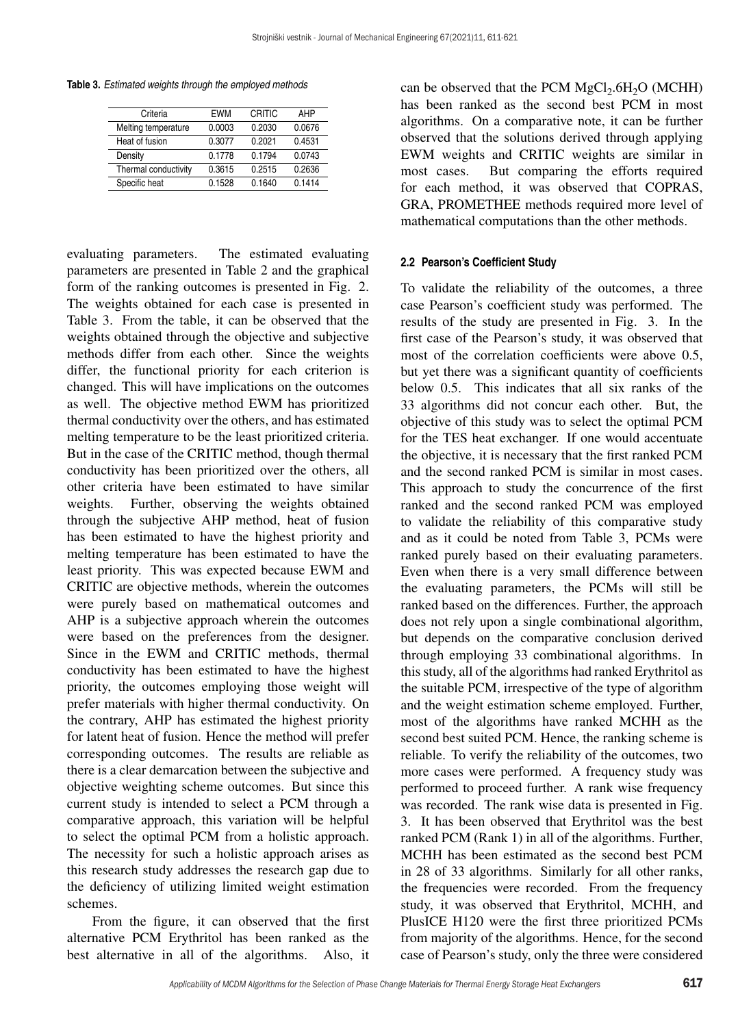**Table 3.** *Estimated weights through the employed methods*

| <b>FWM</b> | CRITIC | AHP    |
|------------|--------|--------|
| 0.0003     | 0.2030 | 0.0676 |
| 0.3077     | 0.2021 | 0.4531 |
| 0.1778     | 0.1794 | 0.0743 |
| 0.3615     | 0.2515 | 0.2636 |
| 0.1528     | 0.1640 | 0.1414 |
|            |        |        |

evaluating parameters. The estimated evaluating parameters are presented in Table 2 and the graphical form of the ranking outcomes is presented in Fig. 2. The weights obtained for each case is presented in Table 3. From the table, it can be observed that the weights obtained through the objective and subjective methods differ from each other. Since the weights differ, the functional priority for each criterion is changed. This will have implications on the outcomes as well. The objective method EWM has prioritized thermal conductivity over the others, and has estimated melting temperature to be the least prioritized criteria. But in the case of the CRITIC method, though thermal conductivity has been prioritized over the others, all other criteria have been estimated to have similar weights. Further, observing the weights obtained through the subjective AHP method, heat of fusion has been estimated to have the highest priority and melting temperature has been estimated to have the least priority. This was expected because EWM and CRITIC are objective methods, wherein the outcomes were purely based on mathematical outcomes and AHP is a subjective approach wherein the outcomes were based on the preferences from the designer. Since in the EWM and CRITIC methods, thermal conductivity has been estimated to have the highest priority, the outcomes employing those weight will prefer materials with higher thermal conductivity. On the contrary, AHP has estimated the highest priority for latent heat of fusion. Hence the method will prefer corresponding outcomes. The results are reliable as there is a clear demarcation between the subjective and objective weighting scheme outcomes. But since this current study is intended to select a PCM through a comparative approach, this variation will be helpful to select the optimal PCM from a holistic approach. The necessity for such a holistic approach arises as this research study addresses the research gap due to the deficiency of utilizing limited weight estimation schemes.

From the figure, it can observed that the first alternative PCM Erythritol has been ranked as the best alternative in all of the algorithms. Also, it

can be observed that the PCM  $MgCl<sub>2</sub>$ .6H<sub>2</sub>O (MCHH) has been ranked as the second best PCM in most algorithms. On a comparative note, it can be further observed that the solutions derived through applying EWM weights and CRITIC weights are similar in most cases. But comparing the efforts required for each method, it was observed that COPRAS, GRA, PROMETHEE methods required more level of mathematical computations than the other methods.

## **2.2 Pearson's Coefficient Study**

To validate the reliability of the outcomes, a three case Pearson's coefficient study was performed. The results of the study are presented in Fig. 3. In the first case of the Pearson's study, it was observed that most of the correlation coefficients were above 0.5, but yet there was a significant quantity of coefficients below 0.5. This indicates that all six ranks of the 33 algorithms did not concur each other. But, the objective of this study was to select the optimal PCM for the TES heat exchanger. If one would accentuate the objective, it is necessary that the first ranked PCM and the second ranked PCM is similar in most cases. This approach to study the concurrence of the first ranked and the second ranked PCM was employed to validate the reliability of this comparative study and as it could be noted from Table 3, PCMs were ranked purely based on their evaluating parameters. Even when there is a very small difference between the evaluating parameters, the PCMs will still be ranked based on the differences. Further, the approach does not rely upon a single combinational algorithm, but depends on the comparative conclusion derived through employing 33 combinational algorithms. In this study, all of the algorithms had ranked Erythritol as the suitable PCM, irrespective of the type of algorithm and the weight estimation scheme employed. Further, most of the algorithms have ranked MCHH as the second best suited PCM. Hence, the ranking scheme is reliable. To verify the reliability of the outcomes, two more cases were performed. A frequency study was performed to proceed further. A rank wise frequency was recorded. The rank wise data is presented in Fig. 3. It has been observed that Erythritol was the best ranked PCM (Rank 1) in all of the algorithms. Further, MCHH has been estimated as the second best PCM in 28 of 33 algorithms. Similarly for all other ranks, the frequencies were recorded. From the frequency study, it was observed that Erythritol, MCHH, and PlusICE H120 were the first three prioritized PCMs from majority of the algorithms. Hence, for the second case of Pearson's study, only the three were considered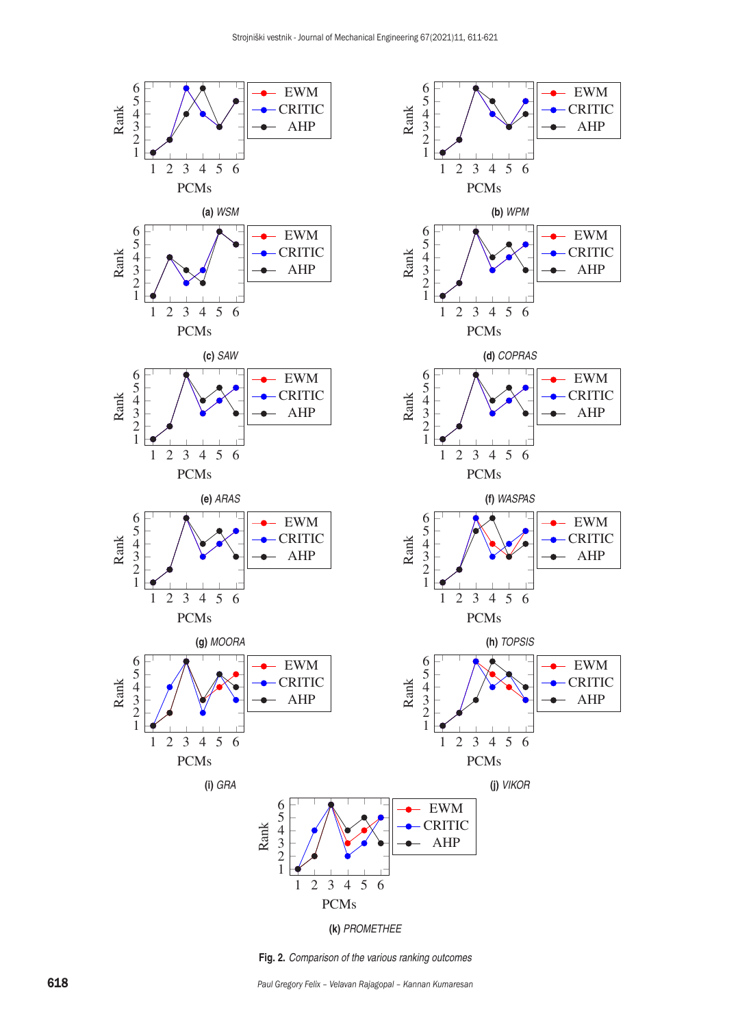

**Fig. 2.** *Comparison of the various ranking outcomes*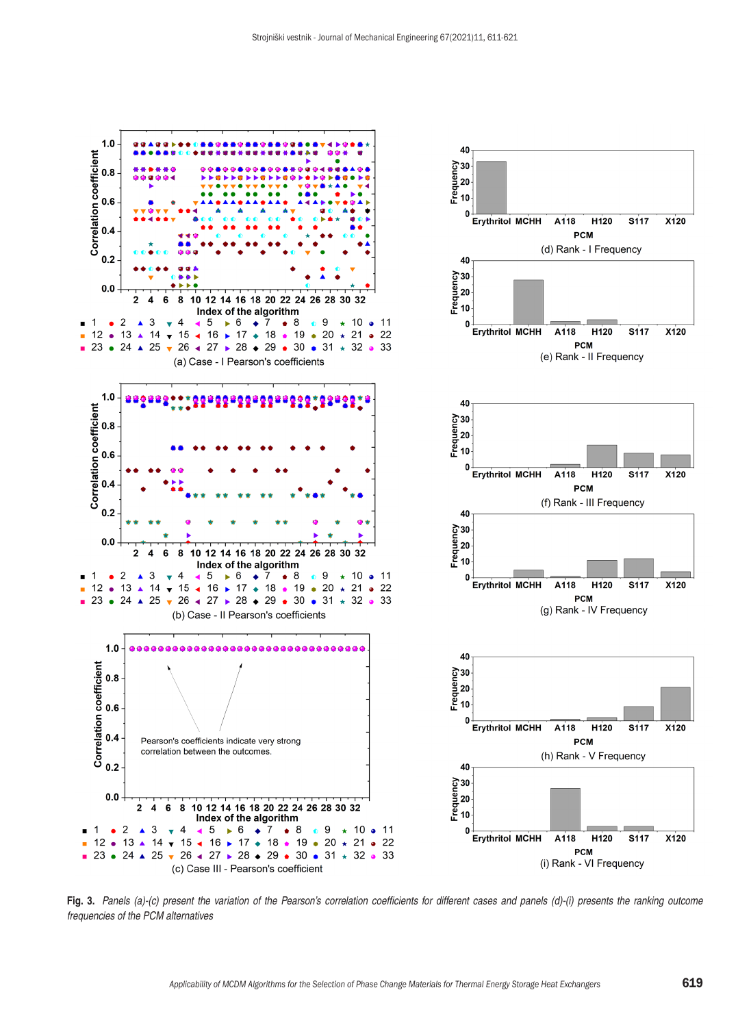

**Fig. 3.** *Panels (a)-(c) present the variation of the Pearson's correlation coefficients for different cases and panels (d)-(i) presents the ranking outcome frequencies of the PCM alternatives*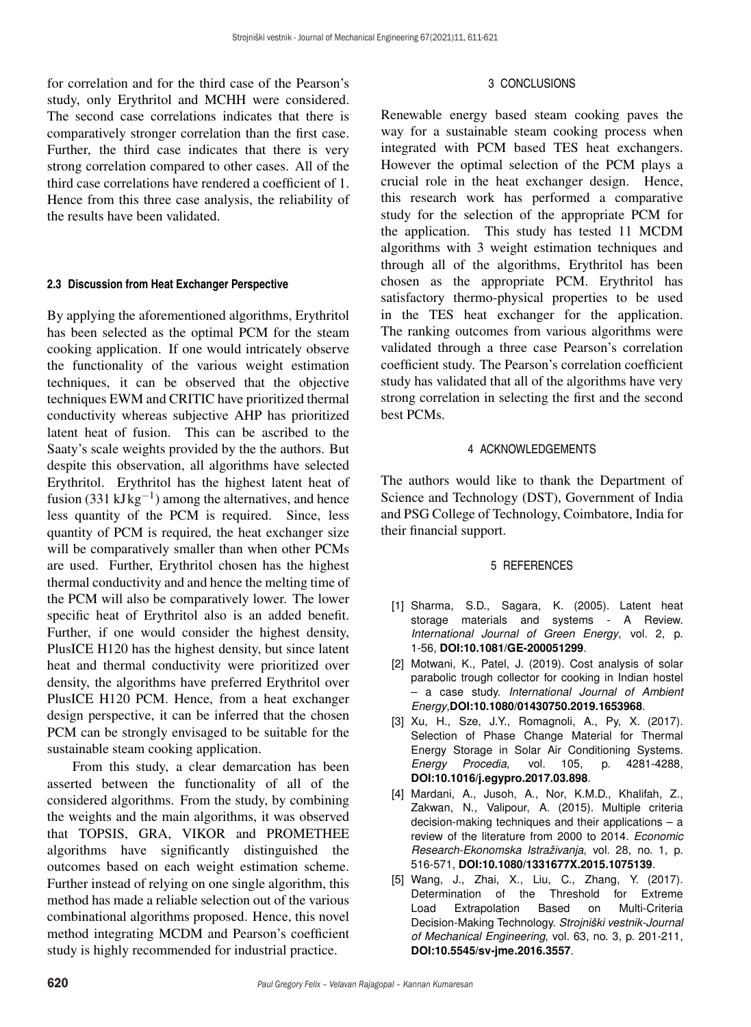for correlation and for the third case of the Pearson's study, only Erythritol and MCHH were considered. The second case correlations indicates that there is comparatively stronger correlation than the first case. Further, the third case indicates that there is very strong correlation compared to other cases. All of the third case correlations have rendered a coefficient of 1. Hence from this three case analysis, the reliability of the results have been validated.

#### **2.3 Discussion from Heat Exchanger Perspective**

By applying the aforementioned algorithms, Erythritol has been selected as the optimal PCM for the steam cooking application. If one would intricately observe the functionality of the various weight estimation techniques, it can be observed that the objective techniques EWM and CRITIC have prioritized thermal conductivity whereas subjective AHP has prioritized latent heat of fusion. This can be ascribed to the Saaty's scale weights provided by the the authors. But despite this observation, all algorithms have selected Erythritol. Erythritol has the highest latent heat of fusion (331 kJ $kg^{-1}$ ) among the alternatives, and hence less quantity of the PCM is required. Since, less quantity of PCM is required, the heat exchanger size will be comparatively smaller than when other PCMs are used. Further, Erythritol chosen has the highest thermal conductivity and and hence the melting time of the PCM will also be comparatively lower. The lower specific heat of Erythritol also is an added benefit. Further, if one would consider the highest density, PlusICE H120 has the highest density, but since latent heat and thermal conductivity were prioritized over density, the algorithms have preferred Erythritol over PlusICE H120 PCM. Hence, from a heat exchanger design perspective, it can be inferred that the chosen PCM can be strongly envisaged to be suitable for the sustainable steam cooking application.

From this study, a clear demarcation has been asserted between the functionality of all of the considered algorithms. From the study, by combining the weights and the main algorithms, it was observed that TOPSIS, GRA, VIKOR and PROMETHEE algorithms have significantly distinguished the outcomes based on each weight estimation scheme. Further instead of relying on one single algorithm, this method has made a reliable selection out of the various combinational algorithms proposed. Hence, this novel method integrating MCDM and Pearson's coefficient study is highly recommended for industrial practice.

# 3 CONCLUSIONS

Renewable energy based steam cooking paves the way for a sustainable steam cooking process when integrated with PCM based TES heat exchangers. However the optimal selection of the PCM plays a crucial role in the heat exchanger design. Hence, this research work has performed a comparative study for the selection of the appropriate PCM for the application. This study has tested 11 MCDM algorithms with 3 weight estimation techniques and through all of the algorithms, Erythritol has been chosen as the appropriate PCM. Erythritol has satisfactory thermo-physical properties to be used in the TES heat exchanger for the application. The ranking outcomes from various algorithms were validated through a three case Pearson's correlation coefficient study. The Pearson's correlation coefficient study has validated that all of the algorithms have very strong correlation in selecting the first and the second best PCMs.

# 4 ACKNOWLEDGEMENTS

The authors would like to thank the Department of Science and Technology (DST), Government of India and PSG College of Technology, Coimbatore, India for their financial support.

# 5 REFERENCES

- [1] Sharma, S.D., Sagara, K. (2005). Latent heat storage materials and systems - A Review. *International Journal of Green Energy*, vol. 2, p. 1-56, **[DOI:10.1081/GE-200051299](https://doi.org/10.1081/GE-200051299)**.
- [2] Motwani, K., Patel, J. (2019). Cost analysis of solar parabolic trough collector for cooking in Indian hostel – a case study. *International Journal of Ambient Energy*,**[DOI:10.1080/01430750.2019.1653968](https://doi.org/10.1080/01430750.2019.1653968)**.
- [3] Xu, H., Sze, J.Y., Romagnoli, A., Py, X. (2017). Selection of Phase Change Material for Thermal Energy Storage in Solar Air Conditioning Systems.<br>Energy Procedia, vol. 105, p. 4281-4288, *Energy Procedia*, vol. 105, **[DOI:10.1016/j.egypro.2017.03.898](https://doi.org/10.1016/j.egypro.2017.03.898)**.
- [4] Mardani, A., Jusoh, A., Nor, K.M.D., Khalifah, Z., Zakwan, N., Valipour, A. (2015). Multiple criteria decision-making techniques and their applications – a review of the literature from 2000 to 2014. *Economic Research-Ekonomska Istraživanja*, vol. 28, no. 1, p. 516-571, **[DOI:10.1080/1331677X.2015.1075139](https://doi.org/10.1080/1331677X.2015.1075139)**.
- [5] Wang, J., Zhai, X., Liu, C., Zhang, Y. (2017). Determination of the Threshold for Extreme<br>Load Extrapolation Based on Multi-Criteria Load Extrapolation Based on Multi-Criteria Decision-Making Technology. *Strojniški vestnik-Journal of Mechanical Engineering*, vol. 63, no. 3, p. 201-211, **[DOI:10.5545/sv-jme.2016.3557](https://doi.org/10.5545/sv-jme.2016.3557)**.